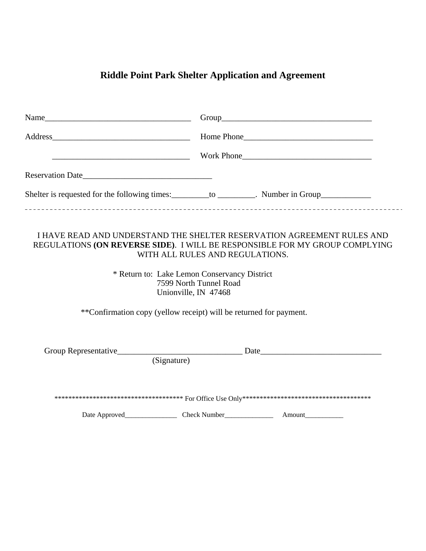## **Riddle Point Park Shelter Application and Agreement**

| <u>Example 2001 North Contract Contract Contract Contract Contract Contract Contract Contract Contract Contract Contract Contract Contract Contract Contract Contract Contract Contract Contract Contract Contract Contract Cont</u> |                                                                                   |  |
|--------------------------------------------------------------------------------------------------------------------------------------------------------------------------------------------------------------------------------------|-----------------------------------------------------------------------------------|--|
|                                                                                                                                                                                                                                      |                                                                                   |  |
| Reservation Date                                                                                                                                                                                                                     |                                                                                   |  |
| Shelter is requested for the following times: __________ to _________. Number in Group_____________                                                                                                                                  |                                                                                   |  |
| I HAVE READ AND UNDERSTAND THE SHELTER RESERVATION AGREEMENT RULES AND<br>REGULATIONS (ON REVERSE SIDE). I WILL BE RESPONSIBLE FOR MY GROUP COMPLYING<br>* Return to: Lake Lemon Conservancy District                                | WITH ALL RULES AND REGULATIONS.<br>7599 North Tunnel Road<br>Unionville, IN 47468 |  |
| **Confirmation copy (yellow receipt) will be returned for payment.                                                                                                                                                                   |                                                                                   |  |
| (Signature)                                                                                                                                                                                                                          |                                                                                   |  |
|                                                                                                                                                                                                                                      |                                                                                   |  |
|                                                                                                                                                                                                                                      |                                                                                   |  |